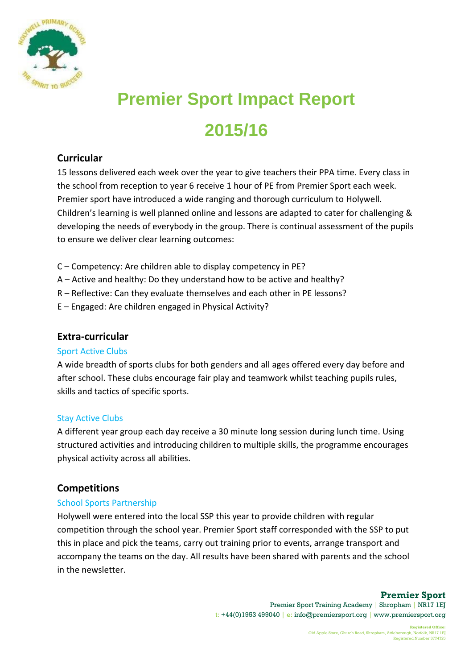

# **Premier Sport Impact Report 2015/16**

### **Curricular**

15 lessons delivered each week over the year to give teachers their PPA time. Every class in the school from reception to year 6 receive 1 hour of PE from Premier Sport each week. Premier sport have introduced a wide ranging and thorough curriculum to Holywell. Children's learning is well planned online and lessons are adapted to cater for challenging & developing the needs of everybody in the group. There is continual assessment of the pupils to ensure we deliver clear learning outcomes:

- C Competency: Are children able to display competency in PE?
- A Active and healthy: Do they understand how to be active and healthy?
- R Reflective: Can they evaluate themselves and each other in PE lessons?
- E Engaged: Are children engaged in Physical Activity?

### **Extra-curricular**

#### Sport Active Clubs

A wide breadth of sports clubs for both genders and all ages offered every day before and after school. These clubs encourage fair play and teamwork whilst teaching pupils rules, skills and tactics of specific sports.

#### Stay Active Clubs

A different year group each day receive a 30 minute long session during lunch time. Using structured activities and introducing children to multiple skills, the programme encourages physical activity across all abilities.

### **Competitions**

#### School Sports Partnership

Holywell were entered into the local SSP this year to provide children with regular competition through the school year. Premier Sport staff corresponded with the SSP to put this in place and pick the teams, carry out training prior to events, arrange transport and accompany the teams on the day. All results have been shared with parents and the school in the newsletter.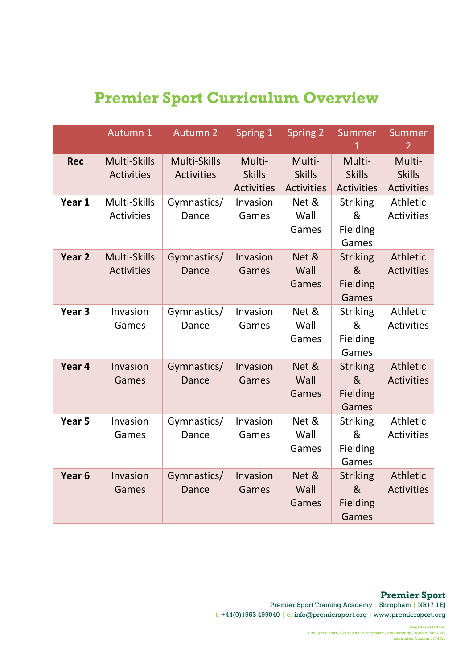# **Premier Sport Curriculum Overview**

|                   | Autumn 1                          | <b>Autumn 2</b>                   | Spring 1                                     | <b>Spring 2</b>                              | Summer<br>$\mathbf{1}$                           | Summer<br>$\overline{2}$                     |
|-------------------|-----------------------------------|-----------------------------------|----------------------------------------------|----------------------------------------------|--------------------------------------------------|----------------------------------------------|
| <b>Rec</b>        | Multi-Skills<br><b>Activities</b> | Multi-Skills<br><b>Activities</b> | Multi-<br><b>Skills</b><br><b>Activities</b> | Multi-<br><b>Skills</b><br><b>Activities</b> | Multi-<br><b>Skills</b><br><b>Activities</b>     | Multi-<br><b>Skills</b><br><b>Activities</b> |
| Year 1            | Multi-Skills<br><b>Activities</b> | Gymnastics/<br>Dance              | Invasion<br>Games                            | Net &<br>Wall<br>Games                       | <b>Striking</b><br>&<br>Fielding<br>Games        | Athletic<br><b>Activities</b>                |
| Year <sub>2</sub> | Multi-Skills<br><b>Activities</b> | Gymnastics/<br><b>Dance</b>       | Invasion<br>Games                            | Net &<br>Wall<br>Games                       | <b>Striking</b><br>&<br>Fielding<br>Games        | Athletic<br><b>Activities</b>                |
| Year <sub>3</sub> | Invasion<br>Games                 | Gymnastics/<br>Dance              | Invasion<br>Games                            | Net &<br>Wall<br>Games                       | <b>Striking</b><br>&<br>Fielding<br>Games        | Athletic<br><b>Activities</b>                |
| Year 4            | Invasion<br>Games                 | Gymnastics/<br>Dance              | Invasion<br>Games                            | Net &<br>Wall<br>Games                       | <b>Striking</b><br>&<br><b>Fielding</b><br>Games | Athletic<br><b>Activities</b>                |
| Year <sub>5</sub> | Invasion<br>Games                 | Gymnastics/<br>Dance              | Invasion<br>Games                            | Net &<br>Wall<br>Games                       | <b>Striking</b><br>&<br>Fielding<br>Games        | Athletic<br><b>Activities</b>                |
| Year <sub>6</sub> | Invasion<br>Games                 | Gymnastics/<br><b>Dance</b>       | Invasion<br>Games                            | Net &<br>Wall<br>Games                       | <b>Striking</b><br>&<br>Fielding<br>Games        | Athletic<br><b>Activities</b>                |

**Premier Sport** Premier Sport Training Academy | Shropham | NR17 1EJ t: +44(0)1953 499040 │ e: info@premiersport.org │ www.premiersport.org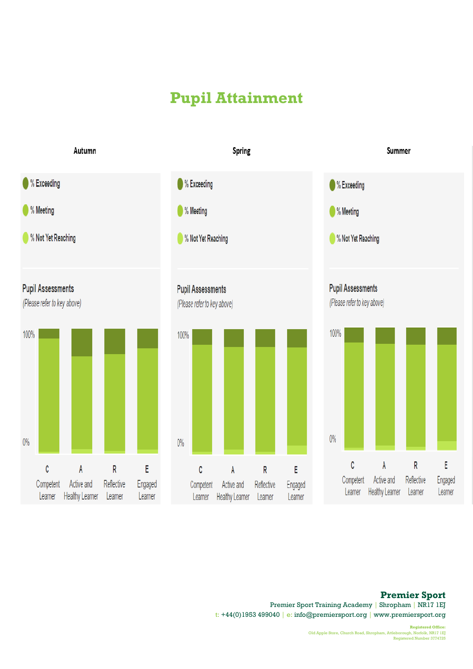# **Pupil Attainment**



#### **Premier Sport**

Premier Sport Training Academy | Shropham | NR17 1EJ t: +44(0)1953 499040 │ e: info@premiersport.org │ www.premiersport.org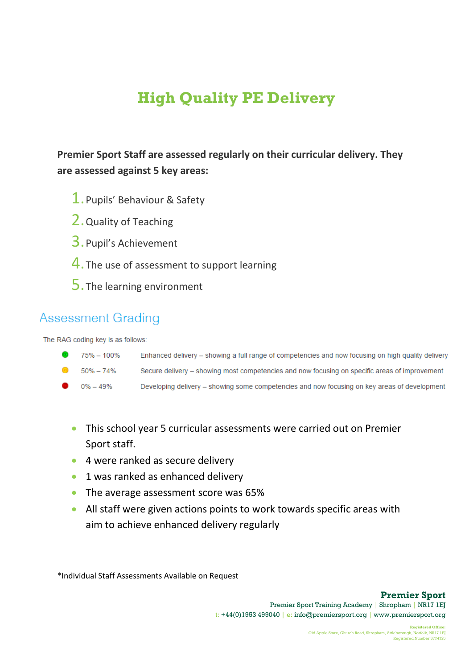# **High Quality PE Delivery**

**Premier Sport Staff are assessed regularly on their curricular delivery. They are assessed against 5 key areas:**

- 1.Pupils' Behaviour & Safety
- 2.Quality of Teaching
- 3.Pupil's Achievement
- 4. The use of assessment to support learning
- 5.The learning environment

### **Assessment Grading**

The RAG coding key is as follows:

| 75% - 100% | Enhanced delivery – showing a full range of competencies and now focusing on high quality delivery |
|------------|----------------------------------------------------------------------------------------------------|
| 50% – 74%  | Secure delivery – showing most competencies and now focusing on specific areas of improvement      |
| 0% – 49%   | Developing delivery – showing some competencies and now focusing on key areas of development       |

- Developing delivery showing some competencies and now focusing on key areas of development
- This school year 5 curricular assessments were carried out on Premier Sport staff.
- 4 were ranked as secure delivery
- **1 was ranked as enhanced delivery**
- The average assessment score was 65%
- All staff were given actions points to work towards specific areas with aim to achieve enhanced delivery regularly

\*Individual Staff Assessments Available on Request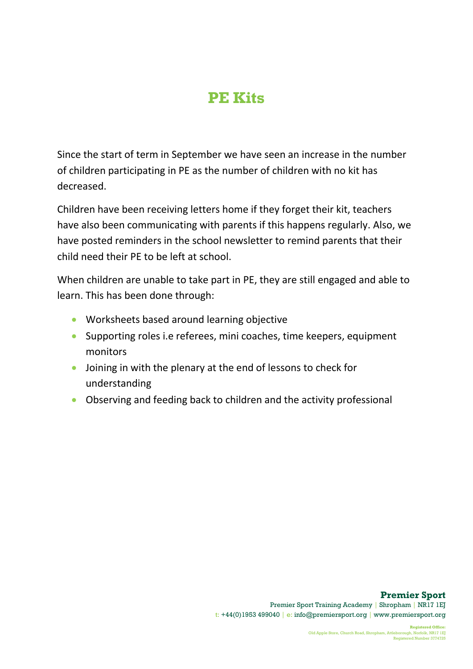## **PE Kits**

Since the start of term in September we have seen an increase in the number of children participating in PE as the number of children with no kit has decreased.

Children have been receiving letters home if they forget their kit, teachers have also been communicating with parents if this happens regularly. Also, we have posted reminders in the school newsletter to remind parents that their child need their PE to be left at school.

When children are unable to take part in PE, they are still engaged and able to learn. This has been done through:

- **•** Worksheets based around learning objective
- Supporting roles i.e referees, mini coaches, time keepers, equipment monitors
- Joining in with the plenary at the end of lessons to check for understanding
- Observing and feeding back to children and the activity professional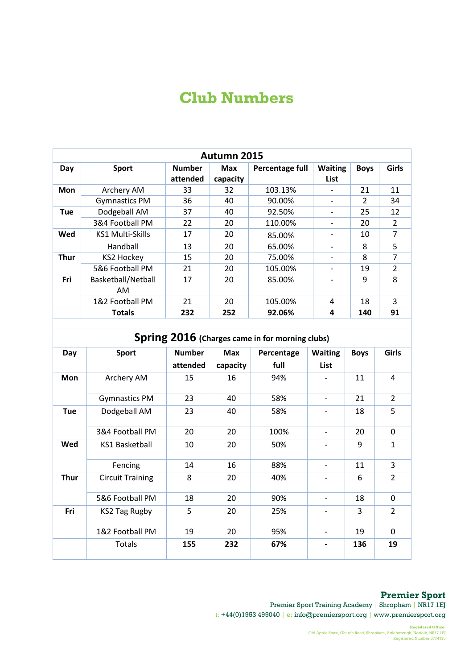## **Club Numbers**

| Autumn 2015 |                         |                           |                        |                 |                              |               |                          |  |
|-------------|-------------------------|---------------------------|------------------------|-----------------|------------------------------|---------------|--------------------------|--|
| Day         | <b>Sport</b>            | <b>Number</b><br>attended | <b>Max</b><br>capacity | Percentage full | <b>Waiting</b><br>List       | <b>Boys</b>   | <b>Girls</b>             |  |
| <b>Mon</b>  | Archery AM              | 33                        | 32                     | 103.13%         | $\qquad \qquad \blacksquare$ | 21            | 11                       |  |
|             | <b>Gymnastics PM</b>    | 36                        | 40                     | 90.00%          |                              | $\mathcal{P}$ | 34                       |  |
| <b>Tue</b>  | Dodgeball AM            | 37                        | 40                     | 92.50%          | -                            | 25            | 12                       |  |
|             | 3&4 Football PM         | 22                        | 20                     | 110.00%         |                              | 20            | $\overline{2}$           |  |
| Wed         | <b>KS1 Multi-Skills</b> | 17                        | 20                     | 85.00%          |                              | 10            | 7                        |  |
|             | Handball                | 13                        | 20                     | 65.00%          | $\overline{\phantom{0}}$     | 8             | 5                        |  |
| Thur        | KS2 Hockey              | 15                        | 20                     | 75.00%          |                              | 8             | 7                        |  |
|             | 5&6 Football PM         | 21                        | 20                     | 105.00%         | -                            | 19            | $\overline{\phantom{a}}$ |  |
| Fri         | Basketball/Netball      | 17                        | 20                     | 85.00%          |                              | 9             | 8                        |  |
|             | AM                      |                           |                        |                 |                              |               |                          |  |
|             | 1&2 Football PM         | 21                        | 20                     | 105.00%         | 4                            | 18            | 3                        |  |
|             | <b>Totals</b>           | 232                       | 252                    | 92.06%          | 4                            | 140           | 91                       |  |

| Spring 2016 (Charges came in for morning clubs) |                         |                           |                        |                    |                          |             |                |  |
|-------------------------------------------------|-------------------------|---------------------------|------------------------|--------------------|--------------------------|-------------|----------------|--|
| Day                                             | <b>Sport</b>            | <b>Number</b><br>attended | <b>Max</b><br>capacity | Percentage<br>full | <b>Waiting</b><br>List   | <b>Boys</b> | Girls          |  |
| Mon                                             | Archery AM              | 15                        | 16                     | 94%                |                          | 11          | 4              |  |
|                                                 | <b>Gymnastics PM</b>    | 23                        | 40                     | 58%                |                          | 21          | $\overline{2}$ |  |
| <b>Tue</b>                                      | Dodgeball AM            | 23                        | 40                     | 58%                |                          | 18          | 5              |  |
|                                                 | 3&4 Football PM         | 20                        | 20                     | 100%               |                          | 20          | 0              |  |
| Wed                                             | <b>KS1 Basketball</b>   | 10                        | 20                     | 50%                |                          | 9           | $\mathbf{1}$   |  |
|                                                 | Fencing                 | 14                        | 16                     | 88%                | $\overline{\phantom{a}}$ | 11          | 3              |  |
| <b>Thur</b>                                     | <b>Circuit Training</b> | 8                         | 20                     | 40%                |                          | 6           | $\overline{2}$ |  |
|                                                 | 5&6 Football PM         | 18                        | 20                     | 90%                |                          | 18          | $\mathbf 0$    |  |
| Fri                                             | KS2 Tag Rugby           | 5                         | 20                     | 25%                |                          | 3           | $\mathcal{L}$  |  |
|                                                 | 1&2 Football PM         | 19                        | 20                     | 95%                | $\overline{\phantom{0}}$ | 19          | $\mathbf 0$    |  |
|                                                 | Totals                  | 155                       | 232                    | 67%                |                          | 136         | 19             |  |

#### **Premier Sport**

Premier Sport Training Academy | Shropham | NR17 1EJ t: +44(0)1953 499040 │ e: info@premiersport.org │ www.premiersport.org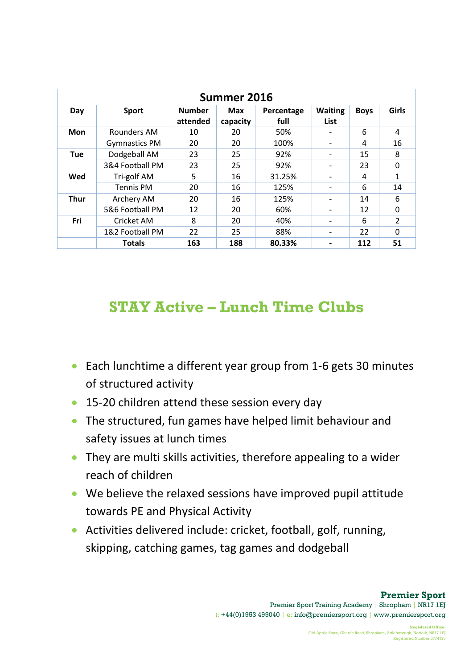| Summer 2016 |                      |                           |                 |                    |                              |             |               |  |
|-------------|----------------------|---------------------------|-----------------|--------------------|------------------------------|-------------|---------------|--|
| Day         | <b>Sport</b>         | <b>Number</b><br>attended | Max<br>capacity | Percentage<br>full | <b>Waiting</b><br>List       | <b>Boys</b> | Girls         |  |
| <b>Mon</b>  | Rounders AM          | 10                        | 20              | 50%                |                              | 6           | 4             |  |
|             | <b>Gymnastics PM</b> | 20                        | 20              | 100%               |                              | 4           | 16            |  |
| <b>Tue</b>  | Dodgeball AM         | 23                        | 25              | 92%                |                              | 15          | 8             |  |
|             | 3&4 Football PM      | 23                        | 25              | 92%                |                              | 23          | 0             |  |
| Wed         | Tri-golf AM          | 5                         | 16              | 31.25%             | $\qquad \qquad \blacksquare$ | 4           | $\mathbf{1}$  |  |
|             | <b>Tennis PM</b>     | 20                        | 16              | 125%               | $\qquad \qquad \blacksquare$ | 6           | 14            |  |
| <b>Thur</b> | Archery AM           | 20                        | 16              | 125%               |                              | 14          | 6             |  |
|             | 5&6 Football PM      | 12                        | 20              | 60%                | $\qquad \qquad \blacksquare$ | 12          | $\Omega$      |  |
| Fri         | Cricket AM           | 8                         | 20              | 40%                | $\qquad \qquad \blacksquare$ | 6           | $\mathcal{P}$ |  |
|             | 1&2 Football PM      | 22                        | 25              | 88%                | $\qquad \qquad \blacksquare$ | 22          | $\Omega$      |  |
|             | <b>Totals</b>        | 163                       | 188             | 80.33%             |                              | 112         | 51            |  |

# **STAY Active – Lunch Time Clubs**

- Each lunchtime a different year group from 1-6 gets 30 minutes of structured activity
- 15-20 children attend these session every day
- The structured, fun games have helped limit behaviour and safety issues at lunch times
- They are multi skills activities, therefore appealing to a wider reach of children
- We believe the relaxed sessions have improved pupil attitude towards PE and Physical Activity
- Activities delivered include: cricket, football, golf, running, skipping, catching games, tag games and dodgeball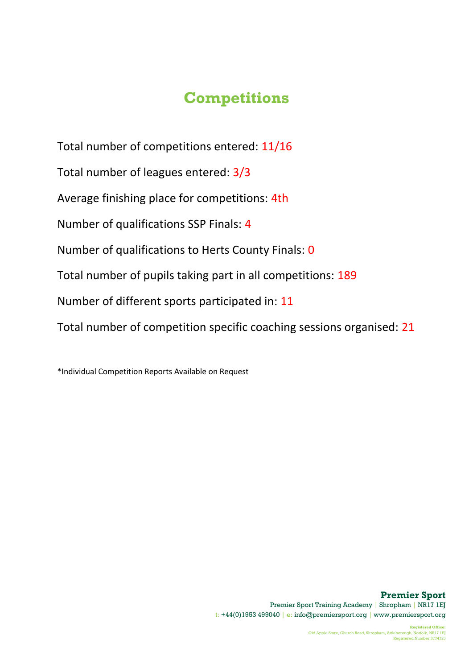# **Competitions**

Total number of competitions entered: 11/16 Total number of leagues entered: 3/3 Average finishing place for competitions: 4th Number of qualifications SSP Finals: 4 Number of qualifications to Herts County Finals: 0 Total number of pupils taking part in all competitions: 189 Number of different sports participated in: 11 Total number of competition specific coaching sessions organised: 21

\*Individual Competition Reports Available on Request